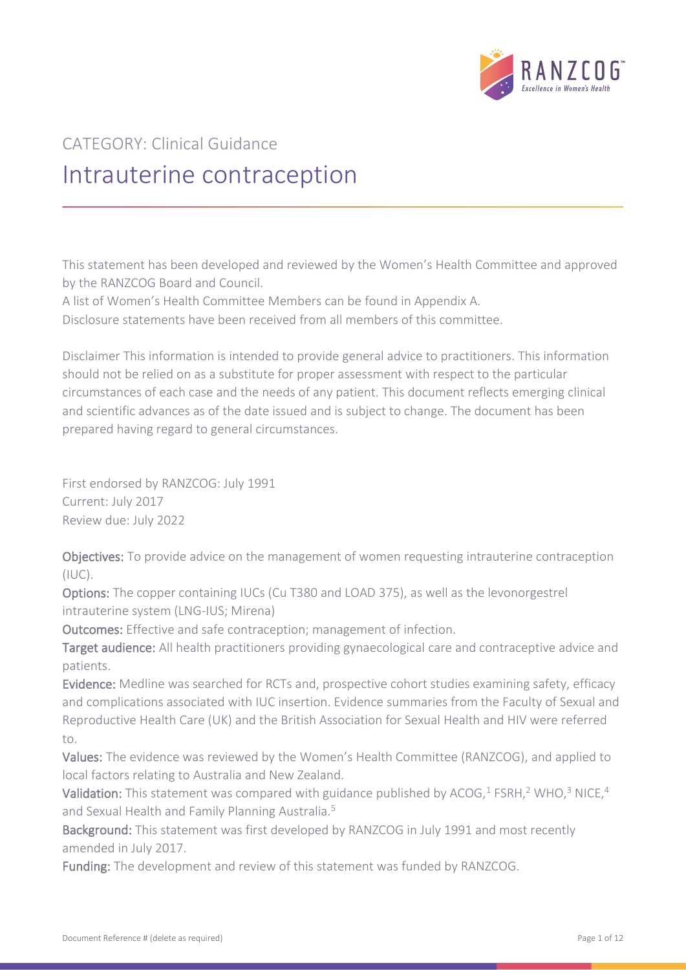

# CATEGORY: Clinical Guidance Intrauterine contraception

This statement has been developed and reviewed by the Women's Health Committee and approved by the RANZCOG Board and Council.

A list of Women's Health Committee Members can be found in Appendix A.

Disclosure statements have been received from all members of this committee.

Disclaimer This information is intended to provide general advice to practitioners. This information should not be relied on as a substitute for proper assessment with respect to the particular circumstances of each case and the needs of any patient. This document reflects emerging clinical and scientific advances as of the date issued and is subject to change. The document has been prepared having regard to general circumstances.

First endorsed by RANZCOG: July 1991 Current: July 2017 Review due: July 2022

Objectives: To provide advice on the management of women requesting intrauterine contraception  $(IIIC).$ 

Options: The copper containing IUCs (Cu T380 and LOAD 375), as well as the levonorgestrel intrauterine system (LNG-IUS; Mirena)

Outcomes: Effective and safe contraception; management of infection.

Target audience: All health practitioners providing gynaecological care and contraceptive advice and patients.

Evidence: Medline was searched for RCTs and, prospective cohort studies examining safety, efficacy and complications associated with IUC insertion. Evidence summaries from the Faculty of Sexual and Reproductive Health Care (UK) and the British Association for Sexual Health and HIV were referred to.

Values: The evidence was reviewed by the Women's Health Committee (RANZCOG), and applied to local factors relating to Australia and New Zealand.

Validation: This statement was compared with guidance published by ACOG,<sup>1</sup> FSRH,<sup>2</sup> WHO,<sup>3</sup> NICE,<sup>4</sup> and Sexual Health and Family Planning Australia.<sup>5</sup>

Background: This statement was first developed by RANZCOG in July 1991 and most recently amended in July 2017.

Funding: The development and review of this statement was funded by RANZCOG.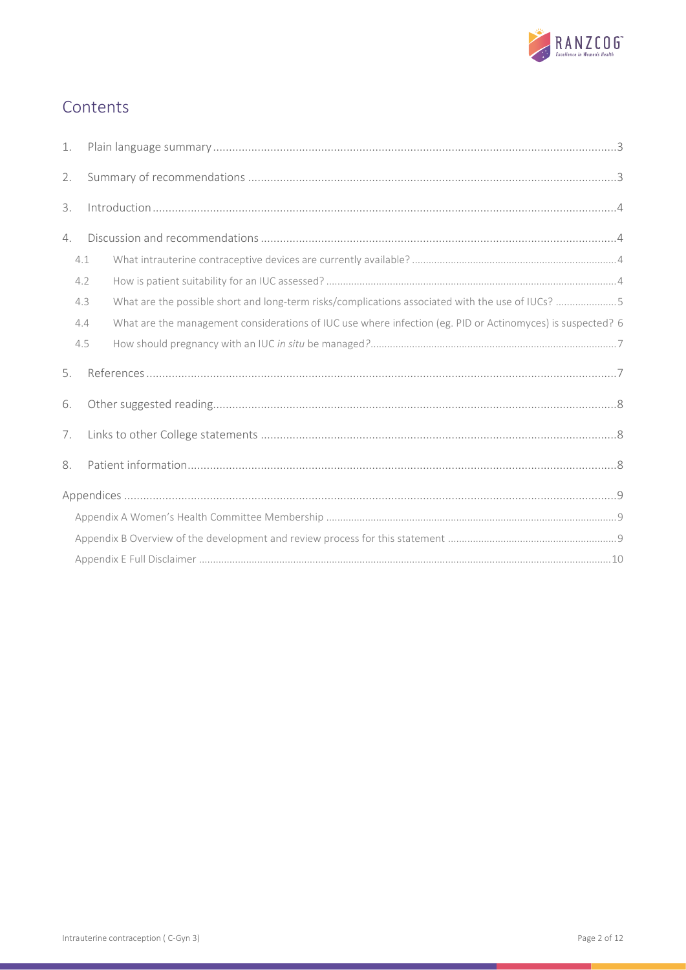

# Contents

| 1. |     |                                                                                                            |  |  |  |
|----|-----|------------------------------------------------------------------------------------------------------------|--|--|--|
| 2. |     |                                                                                                            |  |  |  |
| 3. |     |                                                                                                            |  |  |  |
| 4. |     |                                                                                                            |  |  |  |
|    | 4.1 |                                                                                                            |  |  |  |
|    | 4.2 |                                                                                                            |  |  |  |
|    | 4.3 | What are the possible short and long-term risks/complications associated with the use of IUCs? 5           |  |  |  |
|    | 4.4 | What are the management considerations of IUC use where infection (eg. PID or Actinomyces) is suspected? 6 |  |  |  |
|    | 4.5 |                                                                                                            |  |  |  |
| 5. |     |                                                                                                            |  |  |  |
| 6. |     |                                                                                                            |  |  |  |
| 7. |     |                                                                                                            |  |  |  |
| 8. |     |                                                                                                            |  |  |  |
|    |     |                                                                                                            |  |  |  |
|    |     |                                                                                                            |  |  |  |
|    |     |                                                                                                            |  |  |  |
|    |     |                                                                                                            |  |  |  |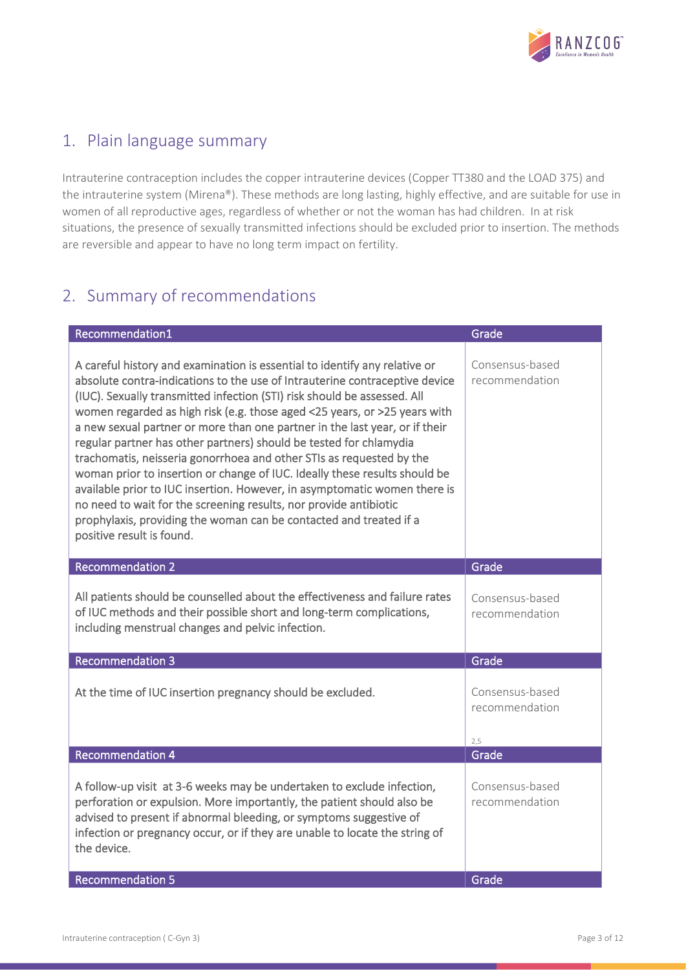

### <span id="page-2-0"></span>1. Plain language summary

Intrauterine contraception includes the copper intrauterine devices (Copper TT380 and the LOAD 375) and the intrauterine system (Mirena®). These methods are long lasting, highly effective, and are suitable for use in women of all reproductive ages, regardless of whether or not the woman has had children. In at risk situations, the presence of sexually transmitted infections should be excluded prior to insertion. The methods are reversible and appear to have no long term impact on fertility.

# <span id="page-2-1"></span>2. Summary of recommendations

| Recommendation1                                                                                                                                                                                                                                                                                                                                                                                                                                                                                                                                                                                                                                                                                                                                                                                                                                                                    | Grade                                    |
|------------------------------------------------------------------------------------------------------------------------------------------------------------------------------------------------------------------------------------------------------------------------------------------------------------------------------------------------------------------------------------------------------------------------------------------------------------------------------------------------------------------------------------------------------------------------------------------------------------------------------------------------------------------------------------------------------------------------------------------------------------------------------------------------------------------------------------------------------------------------------------|------------------------------------------|
| A careful history and examination is essential to identify any relative or<br>absolute contra-indications to the use of Intrauterine contraceptive device<br>(IUC). Sexually transmitted infection (STI) risk should be assessed. All<br>women regarded as high risk (e.g. those aged <25 years, or >25 years with<br>a new sexual partner or more than one partner in the last year, or if their<br>regular partner has other partners) should be tested for chlamydia<br>trachomatis, neisseria gonorrhoea and other STIs as requested by the<br>woman prior to insertion or change of IUC. Ideally these results should be<br>available prior to IUC insertion. However, in asymptomatic women there is<br>no need to wait for the screening results, nor provide antibiotic<br>prophylaxis, providing the woman can be contacted and treated if a<br>positive result is found. | Consensus-based<br>recommendation        |
| <b>Recommendation 2</b>                                                                                                                                                                                                                                                                                                                                                                                                                                                                                                                                                                                                                                                                                                                                                                                                                                                            | Grade                                    |
| All patients should be counselled about the effectiveness and failure rates<br>of IUC methods and their possible short and long-term complications,<br>including menstrual changes and pelvic infection.                                                                                                                                                                                                                                                                                                                                                                                                                                                                                                                                                                                                                                                                           | Consensus-based<br>recommendation        |
| <b>Recommendation 3</b>                                                                                                                                                                                                                                                                                                                                                                                                                                                                                                                                                                                                                                                                                                                                                                                                                                                            | Grade                                    |
| At the time of IUC insertion pregnancy should be excluded.                                                                                                                                                                                                                                                                                                                                                                                                                                                                                                                                                                                                                                                                                                                                                                                                                         | Consensus-based<br>recommendation<br>2.5 |
| <b>Recommendation 4</b>                                                                                                                                                                                                                                                                                                                                                                                                                                                                                                                                                                                                                                                                                                                                                                                                                                                            | Grade                                    |
| A follow-up visit at 3-6 weeks may be undertaken to exclude infection,<br>perforation or expulsion. More importantly, the patient should also be<br>advised to present if abnormal bleeding, or symptoms suggestive of<br>infection or pregnancy occur, or if they are unable to locate the string of<br>the device.                                                                                                                                                                                                                                                                                                                                                                                                                                                                                                                                                               | Consensus-based<br>recommendation        |
| <b>Recommendation 5</b>                                                                                                                                                                                                                                                                                                                                                                                                                                                                                                                                                                                                                                                                                                                                                                                                                                                            | Grade                                    |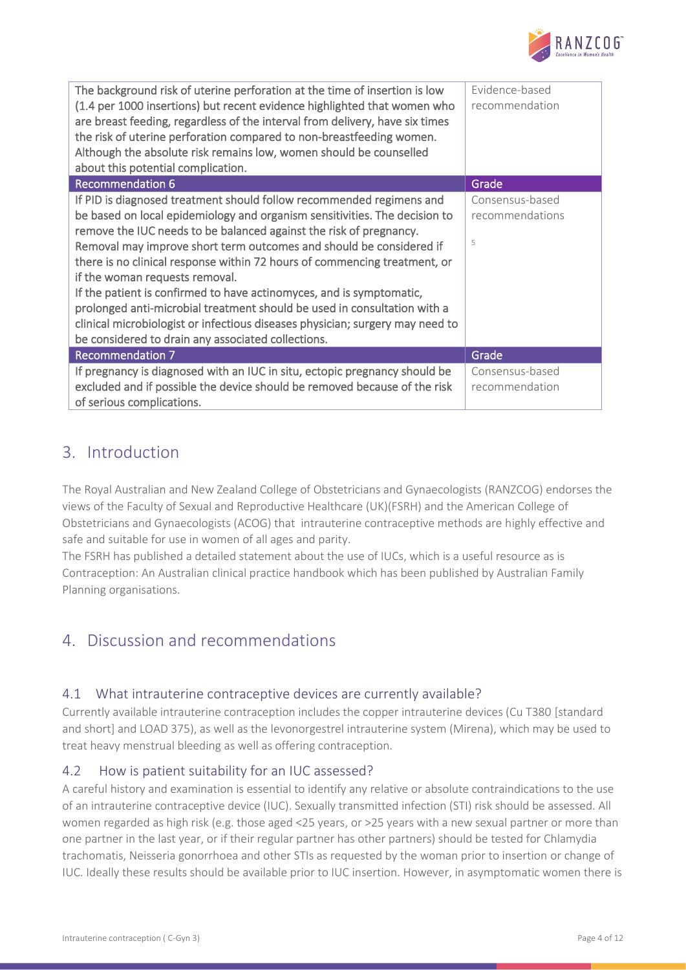

| The background risk of uterine perforation at the time of insertion is low<br>(1.4 per 1000 insertions) but recent evidence highlighted that women who<br>are breast feeding, regardless of the interval from delivery, have six times<br>the risk of uterine perforation compared to non-breastfeeding women.<br>Although the absolute risk remains low, women should be counselled<br>about this potential complication.                                                                                                                                                                                                                                                                                | Evidence-based<br>recommendation        |
|-----------------------------------------------------------------------------------------------------------------------------------------------------------------------------------------------------------------------------------------------------------------------------------------------------------------------------------------------------------------------------------------------------------------------------------------------------------------------------------------------------------------------------------------------------------------------------------------------------------------------------------------------------------------------------------------------------------|-----------------------------------------|
| <b>Recommendation 6</b>                                                                                                                                                                                                                                                                                                                                                                                                                                                                                                                                                                                                                                                                                   | Grade                                   |
| If PID is diagnosed treatment should follow recommended regimens and<br>be based on local epidemiology and organism sensitivities. The decision to<br>remove the IUC needs to be balanced against the risk of pregnancy.<br>Removal may improve short term outcomes and should be considered if<br>there is no clinical response within 72 hours of commencing treatment, or<br>if the woman requests removal.<br>If the patient is confirmed to have actinomyces, and is symptomatic,<br>prolonged anti-microbial treatment should be used in consultation with a<br>clinical microbiologist or infectious diseases physician; surgery may need to<br>be considered to drain any associated collections. | Consensus-based<br>recommendations<br>5 |
| <b>Recommendation 7</b>                                                                                                                                                                                                                                                                                                                                                                                                                                                                                                                                                                                                                                                                                   | Grade                                   |
| If pregnancy is diagnosed with an IUC in situ, ectopic pregnancy should be<br>excluded and if possible the device should be removed because of the risk<br>of serious complications.                                                                                                                                                                                                                                                                                                                                                                                                                                                                                                                      | Consensus-based<br>recommendation       |

### <span id="page-3-0"></span>3. Introduction

The Royal Australian and New Zealand College of Obstetricians and Gynaecologists (RANZCOG) endorses the views of the Faculty of Sexual and Reproductive Healthcare (UK)(FSRH) and the American College of Obstetricians and Gynaecologists (ACOG) that intrauterine contraceptive methods are highly effective and safe and suitable for use in women of all ages and parity.

The FSRH has published a detailed statement about the use of IUCs, which is a useful resource as is Contraception: An Australian clinical practice handbook which has been published by Australian Family Planning organisations.

### <span id="page-3-1"></span>4. Discussion and recommendations

### <span id="page-3-2"></span>4.1 What intrauterine contraceptive devices are currently available?

Currently available intrauterine contraception includes the copper intrauterine devices (Cu T380 [standard and short] and LOAD 375), as well as the levonorgestrel intrauterine system (Mirena), which may be used to treat heavy menstrual bleeding as well as offering contraception.

### <span id="page-3-3"></span>4.2 How is patient suitability for an IUC assessed?

A careful history and examination is essential to identify any relative or absolute contraindications to the use of an intrauterine contraceptive device (IUC). Sexually transmitted infection (STI) risk should be assessed. All women regarded as high risk (e.g. those aged <25 years, or >25 years with a new sexual partner or more than one partner in the last year, or if their regular partner has other partners) should be tested for Chlamydia trachomatis, Neisseria gonorrhoea and other STIs as requested by the woman prior to insertion or change of IUC. Ideally these results should be available prior to IUC insertion. However, in asymptomatic women there is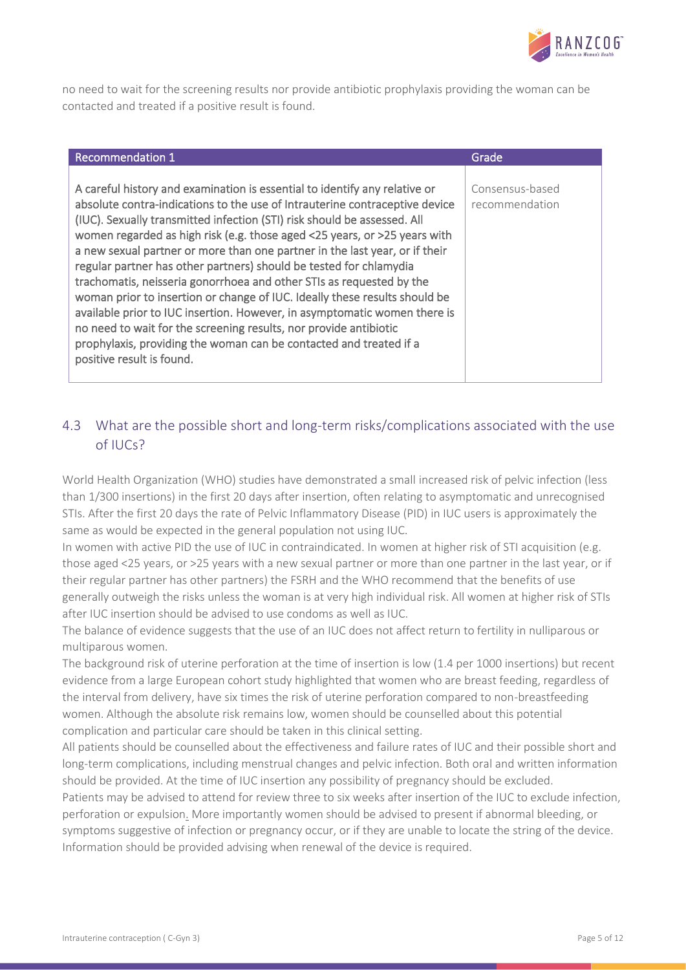

no need to wait for the screening results nor provide antibiotic prophylaxis providing the woman can be contacted and treated if a positive result is found.

| <b>Recommendation 1</b>                                                                                                                                                                                                                                                                                                                                                                                                                                                                                                                                                                                                                                                                                                                                                                                                                                                            | Grade                             |
|------------------------------------------------------------------------------------------------------------------------------------------------------------------------------------------------------------------------------------------------------------------------------------------------------------------------------------------------------------------------------------------------------------------------------------------------------------------------------------------------------------------------------------------------------------------------------------------------------------------------------------------------------------------------------------------------------------------------------------------------------------------------------------------------------------------------------------------------------------------------------------|-----------------------------------|
| A careful history and examination is essential to identify any relative or<br>absolute contra-indications to the use of Intrauterine contraceptive device<br>(IUC). Sexually transmitted infection (STI) risk should be assessed. All<br>women regarded as high risk (e.g. those aged <25 years, or >25 years with<br>a new sexual partner or more than one partner in the last year, or if their<br>regular partner has other partners) should be tested for chlamydia<br>trachomatis, neisseria gonorrhoea and other STIs as requested by the<br>woman prior to insertion or change of IUC. Ideally these results should be<br>available prior to IUC insertion. However, in asymptomatic women there is<br>no need to wait for the screening results, nor provide antibiotic<br>prophylaxis, providing the woman can be contacted and treated if a<br>positive result is found. | Consensus-based<br>recommendation |

### <span id="page-4-0"></span>4.3 What are the possible short and long-term risks/complications associated with the use of IUCs?

World Health Organization (WHO) studies have demonstrated a small increased risk of pelvic infection (less than 1/300 insertions) in the first 20 days after insertion, often relating to asymptomatic and unrecognised STIs. After the first 20 days the rate of Pelvic Inflammatory Disease (PID) in IUC users is approximately the same as would be expected in the general population not using IUC.

In women with active PID the use of IUC in contraindicated. In women at higher risk of STI acquisition (e.g. those aged <25 years, or >25 years with a new sexual partner or more than one partner in the last year, or if their regular partner has other partners) the FSRH and the WHO recommend that the benefits of use generally outweigh the risks unless the woman is at very high individual risk. All women at higher risk of STIs after IUC insertion should be advised to use condoms as well as IUC.

The balance of evidence suggests that the use of an IUC does not affect return to fertility in nulliparous or multiparous women.

The background risk of uterine perforation at the time of insertion is low (1.4 per 1000 insertions) but recent evidence from a large European cohort study highlighted that women who are breast feeding, regardless of the interval from delivery, have six times the risk of uterine perforation compared to non-breastfeeding women. Although the absolute risk remains low, women should be counselled about this potential complication and particular care should be taken in this clinical setting.

All patients should be counselled about the effectiveness and failure rates of IUC and their possible short and long-term complications, including menstrual changes and pelvic infection. Both oral and written information should be provided. At the time of IUC insertion any possibility of pregnancy should be excluded.

Patients may be advised to attend for review three to six weeks after insertion of the IUC to exclude infection, perforation or expulsion. More importantly women should be advised to present if abnormal bleeding, or symptoms suggestive of infection or pregnancy occur, or if they are unable to locate the string of the device. Information should be provided advising when renewal of the device is required.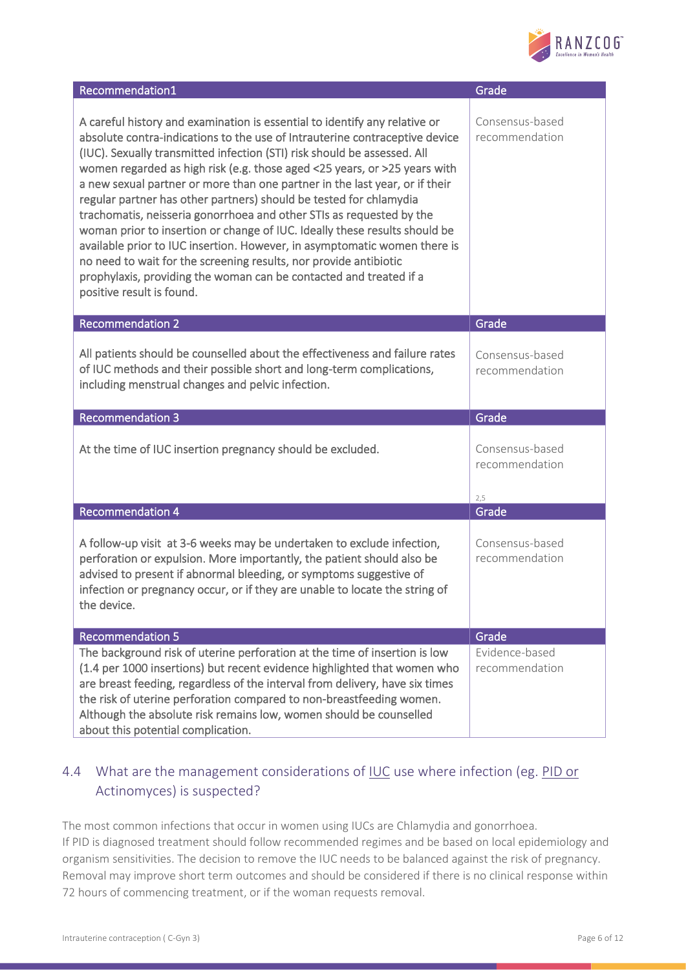

| Recommendation1                                                                                                                                                                                                                                                                                                                                                                                                                                                                                                                                                                                                                                                                                                                                                                                                                                                                    | Grade                             |
|------------------------------------------------------------------------------------------------------------------------------------------------------------------------------------------------------------------------------------------------------------------------------------------------------------------------------------------------------------------------------------------------------------------------------------------------------------------------------------------------------------------------------------------------------------------------------------------------------------------------------------------------------------------------------------------------------------------------------------------------------------------------------------------------------------------------------------------------------------------------------------|-----------------------------------|
| A careful history and examination is essential to identify any relative or<br>absolute contra-indications to the use of Intrauterine contraceptive device<br>(IUC). Sexually transmitted infection (STI) risk should be assessed. All<br>women regarded as high risk (e.g. those aged <25 years, or >25 years with<br>a new sexual partner or more than one partner in the last year, or if their<br>regular partner has other partners) should be tested for chlamydia<br>trachomatis, neisseria gonorrhoea and other STIs as requested by the<br>woman prior to insertion or change of IUC. Ideally these results should be<br>available prior to IUC insertion. However, in asymptomatic women there is<br>no need to wait for the screening results, nor provide antibiotic<br>prophylaxis, providing the woman can be contacted and treated if a<br>positive result is found. | Consensus-based<br>recommendation |
| <b>Recommendation 2</b>                                                                                                                                                                                                                                                                                                                                                                                                                                                                                                                                                                                                                                                                                                                                                                                                                                                            | Grade                             |
| All patients should be counselled about the effectiveness and failure rates<br>of IUC methods and their possible short and long-term complications,<br>including menstrual changes and pelvic infection.                                                                                                                                                                                                                                                                                                                                                                                                                                                                                                                                                                                                                                                                           | Consensus-based<br>recommendation |
|                                                                                                                                                                                                                                                                                                                                                                                                                                                                                                                                                                                                                                                                                                                                                                                                                                                                                    |                                   |
| <b>Recommendation 3</b>                                                                                                                                                                                                                                                                                                                                                                                                                                                                                                                                                                                                                                                                                                                                                                                                                                                            | Grade                             |
| At the time of IUC insertion pregnancy should be excluded.                                                                                                                                                                                                                                                                                                                                                                                                                                                                                                                                                                                                                                                                                                                                                                                                                         | Consensus-based<br>recommendation |
| <b>Recommendation 4</b>                                                                                                                                                                                                                                                                                                                                                                                                                                                                                                                                                                                                                                                                                                                                                                                                                                                            | 2,5<br>Grade                      |
| A follow-up visit at 3-6 weeks may be undertaken to exclude infection,<br>perforation or expulsion. More importantly, the patient should also be<br>advised to present if abnormal bleeding, or symptoms suggestive of<br>infection or pregnancy occur, or if they are unable to locate the string of<br>the device.                                                                                                                                                                                                                                                                                                                                                                                                                                                                                                                                                               | Consensus-based<br>recommendation |
| <b>Recommendation 5</b><br>The background risk of uterine perforation at the time of insertion is low                                                                                                                                                                                                                                                                                                                                                                                                                                                                                                                                                                                                                                                                                                                                                                              | Grade<br>Evidence-based           |

### <span id="page-5-0"></span>4.4 What are the management considerations of IUC use where infection (eg. PID or Actinomyces) is suspected?

The most common infections that occur in women using IUCs are Chlamydia and gonorrhoea. If PID is diagnosed treatment should follow recommended regimes and be based on local epidemiology and organism sensitivities. The decision to remove the IUC needs to be balanced against the risk of pregnancy. Removal may improve short term outcomes and should be considered if there is no clinical response within 72 hours of commencing treatment, or if the woman requests removal.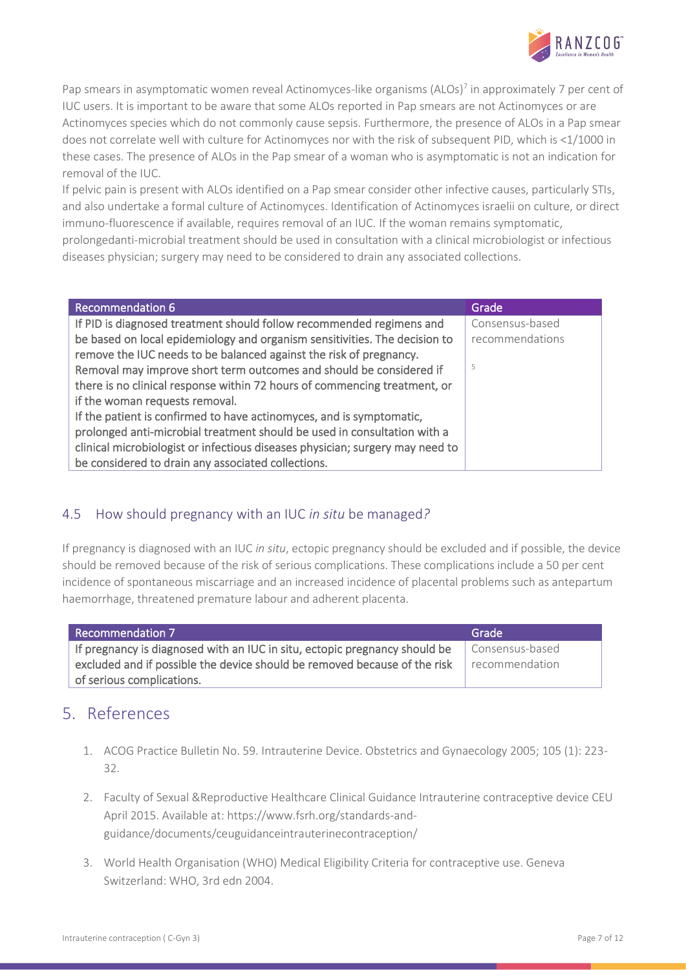

Pap smears in asymptomatic women reveal Actinomyces-like organisms (ALOs)<sup>7</sup> in approximately 7 per cent of IUC users. It is important to be aware that some ALOs reported in Pap smears are not Actinomyces or are Actinomyces species which do not commonly cause sepsis. Furthermore, the presence of ALOs in a Pap smear does not correlate well with culture for Actinomyces nor with the risk of subsequent PID, which is <1/1000 in these cases. The presence of ALOs in the Pap smear of a woman who is asymptomatic is not an indication for removal of the IUC.

If pelvic pain is present with ALOs identified on a Pap smear consider other infective causes, particularly STIs, and also undertake a formal culture of Actinomyces. Identification of Actinomyces israelii on culture, or direct immuno-fluorescence if available, requires removal of an IUC. If the woman remains symptomatic, prolongedanti-microbial treatment should be used in consultation with a clinical microbiologist or infectious diseases physician; surgery may need to be considered to drain any associated collections.

| <b>Recommendation 6</b>                                                       | Grade           |
|-------------------------------------------------------------------------------|-----------------|
| If PID is diagnosed treatment should follow recommended regimens and          | Consensus-based |
| be based on local epidemiology and organism sensitivities. The decision to    | recommendations |
| remove the IUC needs to be balanced against the risk of pregnancy.            |                 |
| Removal may improve short term outcomes and should be considered if           | 5               |
| there is no clinical response within 72 hours of commencing treatment, or     |                 |
| if the woman requests removal.                                                |                 |
| If the patient is confirmed to have actinomyces, and is symptomatic,          |                 |
| prolonged anti-microbial treatment should be used in consultation with a      |                 |
| clinical microbiologist or infectious diseases physician; surgery may need to |                 |
| be considered to drain any associated collections.                            |                 |

### <span id="page-6-0"></span>4.5 How should pregnancy with an IUC *in situ* be managed*?*

If pregnancy is diagnosed with an IUC *in situ*, ectopic pregnancy should be excluded and if possible, the device should be removed because of the risk of serious complications. These complications include a 50 per cent incidence of spontaneous miscarriage and an increased incidence of placental problems such as antepartum haemorrhage, threatened premature labour and adherent placenta.

| <b>Recommendation 7</b>                                                    | Grade           |
|----------------------------------------------------------------------------|-----------------|
| If pregnancy is diagnosed with an IUC in situ, ectopic pregnancy should be | Consensus-based |
| excluded and if possible the device should be removed because of the risk  | recommendation  |
| of serious complications.                                                  |                 |

### <span id="page-6-1"></span>5. References

- 1. ACOG Practice Bulletin No. 59. Intrauterine Device. Obstetrics and Gynaecology 2005; 105 (1): 223- 32.
- 2. Faculty of Sexual &Reproductive Healthcare Clinical Guidance Intrauterine contraceptive device CEU April 2015. Available at: [https://www.fsrh.org/standards-and](https://www.fsrh.org/standards-and-guidance/documents/ceuguidanceintrauterinecontraception/)[guidance/documents/ceuguidanceintrauterinecontraception/](https://www.fsrh.org/standards-and-guidance/documents/ceuguidanceintrauterinecontraception/)
- 3. World Health Organisation (WHO) Medical Eligibility Criteria for contraceptive use. Geneva Switzerland: WHO, 3rd edn 2004.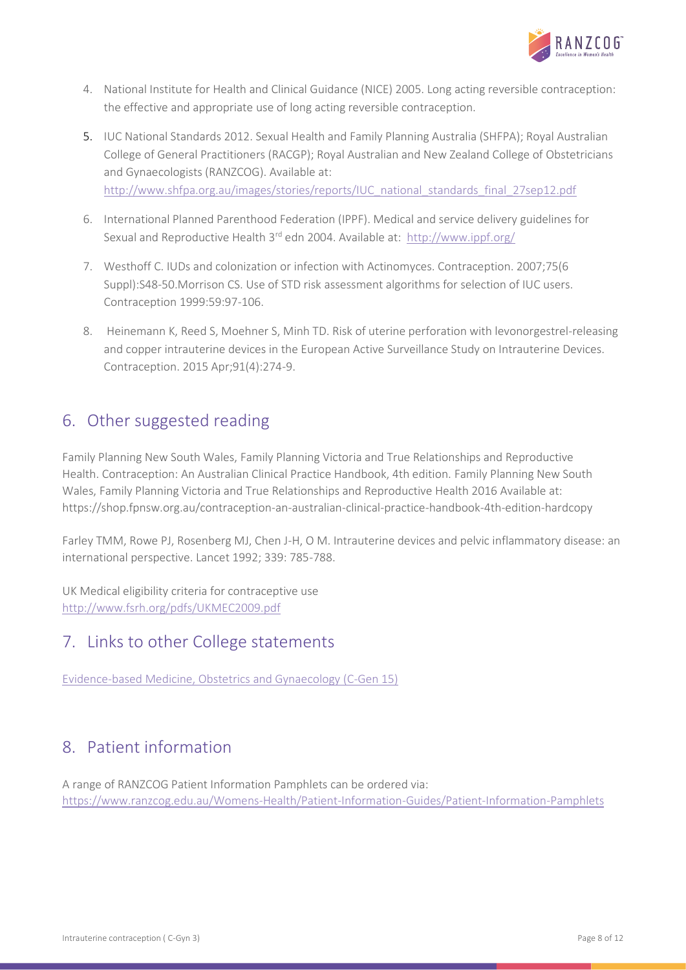

- 4. National Institute for Health and Clinical Guidance (NICE) 2005. Long acting reversible contraception: the effective and appropriate use of long acting reversible contraception.
- 5. IUC National Standards 2012. Sexual Health and Family Planning Australia (SHFPA); Royal Australian College of General Practitioners (RACGP); Royal Australian and New Zealand College of Obstetricians and Gynaecologists (RANZCOG). Available at: [http://www.shfpa.org.au/images/stories/reports/IUC\\_national\\_standards\\_final\\_27sep12.pdf](http://www.shfpa.org.au/images/stories/reports/iud_national_standards_final_27sep12.pdf)
- 6. International Planned Parenthood Federation (IPPF). Medical and service delivery guidelines for Sexual and Reproductive Health 3rd edn 2004. Available at: [http://www.ippf.org/](http://www.ippf.org/en/Resources/Medical/IMAP+statements.htm)
- 7. Westhoff C. IUDs and colonization or infection with Actinomyces. Contraception. 2007;75(6 Suppl):S48-50.Morrison CS. Use of STD risk assessment algorithms for selection of IUC users. Contraception 1999:59:97-106.
- 8. Heinemann K, Reed S, Moehner S, Minh TD. Risk of uterine perforation with levonorgestrel-releasing and copper intrauterine devices in the European Active Surveillance Study on Intrauterine Devices. Contraception. 2015 Apr;91(4):274-9.

### <span id="page-7-0"></span>6. Other suggested reading

Family Planning New South Wales, Family Planning Victoria and True Relationships and Reproductive Health. Contraception: An Australian Clinical Practice Handbook, 4th edition. Family Planning New South Wales, Family Planning Victoria and True Relationships and Reproductive Health 2016 Available at: https://shop.fpnsw.org.au/contraception-an-australian-clinical-practice-handbook-4th-edition-hardcopy

Farley TMM, Rowe PJ, Rosenberg MJ, Chen J-H, O M. Intrauterine devices and pelvic inflammatory disease: an international perspective. Lancet 1992; 339: 785-788.

UK Medical eligibility criteria for contraceptive use <http://www.fsrh.org/pdfs/UKMEC2009.pdf>

# <span id="page-7-1"></span>7. Links to other College statements

[Evidence-based Medicine, Obstetrics and Gynaecology \(C-Gen 15\)](https://www.ranzcog.edu.au/RANZCOG_SITE/media/RANZCOG-MEDIA/Women%27s%20Health/Statement%20and%20guidelines/Clinical%20-%20General/Evidence-based-medicine,-Obstetrics-and-Gynaecology-(C-Gen-15)-Review-March-2016.pdf?ext=.pdf) 

### <span id="page-7-2"></span>8. Patient information

A range of RANZCOG Patient Information Pamphlets can be ordered via: <https://www.ranzcog.edu.au/Womens-Health/Patient-Information-Guides/Patient-Information-Pamphlets>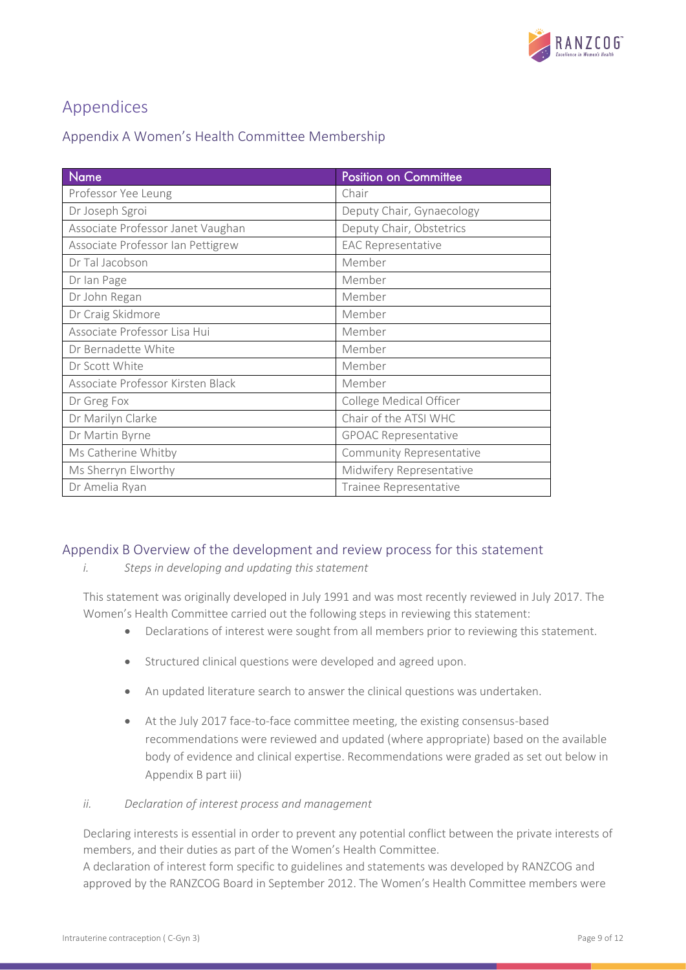

# <span id="page-8-0"></span>Appendices

<span id="page-8-1"></span>

| Appendix A Women's Health Committee Membership |  |
|------------------------------------------------|--|
|------------------------------------------------|--|

| <b>Name</b>                       | <b>Position on Committee</b> |
|-----------------------------------|------------------------------|
| Professor Yee Leung               | Chair                        |
| Dr Joseph Sgroi                   | Deputy Chair, Gynaecology    |
| Associate Professor Janet Vaughan | Deputy Chair, Obstetrics     |
| Associate Professor Ian Pettigrew | <b>EAC Representative</b>    |
| Dr Tal Jacobson                   | Member                       |
| Dr Ian Page                       | Member                       |
| Dr John Regan                     | Member                       |
| Dr Craig Skidmore                 | Member                       |
| Associate Professor Lisa Hui      | Member                       |
| Dr Bernadette White               | Member                       |
| Dr Scott White                    | Member                       |
| Associate Professor Kirsten Black | Member                       |
| Dr Greg Fox                       | College Medical Officer      |
| Dr Marilyn Clarke                 | Chair of the ATSI WHC        |
| Dr Martin Byrne                   | <b>GPOAC Representative</b>  |
| Ms Catherine Whitby               | Community Representative     |
| Ms Sherryn Elworthy               | Midwifery Representative     |
| Dr Amelia Ryan                    | Trainee Representative       |

### <span id="page-8-2"></span>Appendix B Overview of the development and review process for this statement

*i. Steps in developing and updating this statement*

This statement was originally developed in July 1991 and was most recently reviewed in July 2017. The Women's Health Committee carried out the following steps in reviewing this statement:

- Declarations of interest were sought from all members prior to reviewing this statement.
- Structured clinical questions were developed and agreed upon.
- An updated literature search to answer the clinical questions was undertaken.
- At the July 2017 face-to-face committee meeting, the existing consensus-based recommendations were reviewed and updated (where appropriate) based on the available body of evidence and clinical expertise. Recommendations were graded as set out below in Appendix B part iii)
- *ii. Declaration of interest process and management*

Declaring interests is essential in order to prevent any potential conflict between the private interests of members, and their duties as part of the Women's Health Committee.

A declaration of interest form specific to guidelines and statements was developed by RANZCOG and approved by the RANZCOG Board in September 2012. The Women's Health Committee members were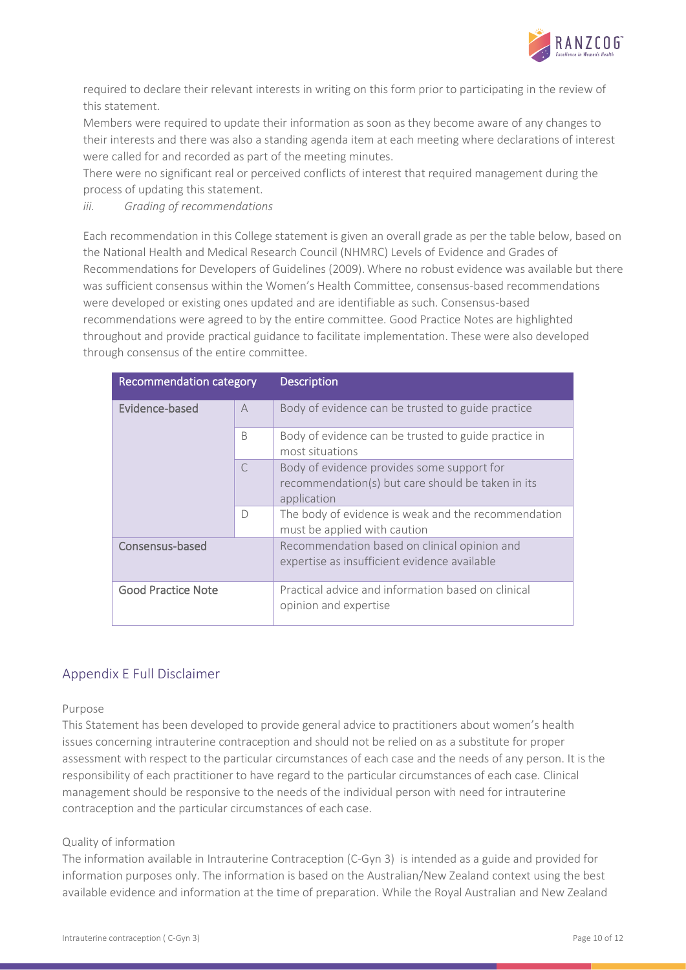

required to declare their relevant interests in writing on this form prior to participating in the review of this statement.

Members were required to update their information as soon as they become aware of any changes to their interests and there was also a standing agenda item at each meeting where declarations of interest were called for and recorded as part of the meeting minutes.

There were no significant real or perceived conflicts of interest that required management during the process of updating this statement.

*iii. Grading of recommendations*

Each recommendation in this College statement is given an overall grade as per the table below, based on the National Health and Medical Research Council (NHMRC) Levels of Evidence and Grades of Recommendations for Developers of Guidelines (2009). Where no robust evidence was available but there was sufficient consensus within the Women's Health Committee, consensus-based recommendations were developed or existing ones updated and are identifiable as such. Consensus-based recommendations were agreed to by the entire committee. Good Practice Notes are highlighted throughout and provide practical guidance to facilitate implementation. These were also developed through consensus of the entire committee.

| <b>Recommendation category</b> |                | <b>Description</b>                                                                                             |
|--------------------------------|----------------|----------------------------------------------------------------------------------------------------------------|
| Evidence-based                 | $\overline{A}$ | Body of evidence can be trusted to guide practice                                                              |
|                                | <sub>B</sub>   | Body of evidence can be trusted to guide practice in<br>most situations                                        |
|                                | $\subset$      | Body of evidence provides some support for<br>recommendation(s) but care should be taken in its<br>application |
|                                | $\Box$         | The body of evidence is weak and the recommendation<br>must be applied with caution                            |
| Consensus-based                |                | Recommendation based on clinical opinion and<br>expertise as insufficient evidence available                   |
| <b>Good Practice Note</b>      |                | Practical advice and information based on clinical<br>opinion and expertise                                    |

### <span id="page-9-0"></span>Appendix E Full Disclaimer

Purpose

This Statement has been developed to provide general advice to practitioners about women's health issues concerning intrauterine contraception and should not be relied on as a substitute for proper assessment with respect to the particular circumstances of each case and the needs of any person. It is the responsibility of each practitioner to have regard to the particular circumstances of each case. Clinical management should be responsive to the needs of the individual person with need for intrauterine contraception and the particular circumstances of each case.

#### Quality of information

The information available in Intrauterine Contraception (C-Gyn 3) is intended as a guide and provided for information purposes only. The information is based on the Australian/New Zealand context using the best available evidence and information at the time of preparation. While the Royal Australian and New Zealand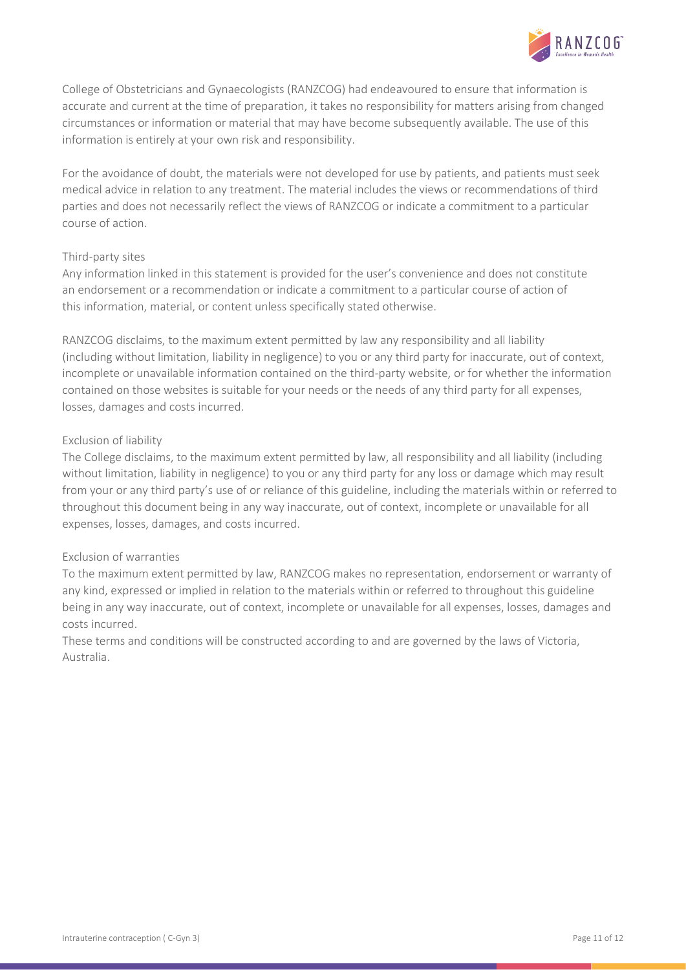

College of Obstetricians and Gynaecologists (RANZCOG) had endeavoured to ensure that information is accurate and current at the time of preparation, it takes no responsibility for matters arising from changed circumstances or information or material that may have become subsequently available. The use of this information is entirely at your own risk and responsibility.

For the avoidance of doubt, the materials were not developed for use by patients, and patients must seek medical advice in relation to any treatment. The material includes the views or recommendations of third parties and does not necessarily reflect the views of RANZCOG or indicate a commitment to a particular course of action.

#### Third-party sites

Any information linked in this statement is provided for the user's convenience and does not constitute an endorsement or a recommendation or indicate a commitment to a particular course of action of this information, material, or content unless specifically stated otherwise.

RANZCOG disclaims, to the maximum extent permitted by law any responsibility and all liability (including without limitation, liability in negligence) to you or any third party for inaccurate, out of context, incomplete or unavailable information contained on the third-party website, or for whether the information contained on those websites is suitable for your needs or the needs of any third party for all expenses, losses, damages and costs incurred.

#### Exclusion of liability

The College disclaims, to the maximum extent permitted by law, all responsibility and all liability (including without limitation, liability in negligence) to you or any third party for any loss or damage which may result from your or any third party's use of or reliance of this guideline, including the materials within or referred to throughout this document being in any way inaccurate, out of context, incomplete or unavailable for all expenses, losses, damages, and costs incurred.

#### Exclusion of warranties

To the maximum extent permitted by law, RANZCOG makes no representation, endorsement or warranty of any kind, expressed or implied in relation to the materials within or referred to throughout this guideline being in any way inaccurate, out of context, incomplete or unavailable for all expenses, losses, damages and costs incurred.

These terms and conditions will be constructed according to and are governed by the laws of Victoria, Australia.